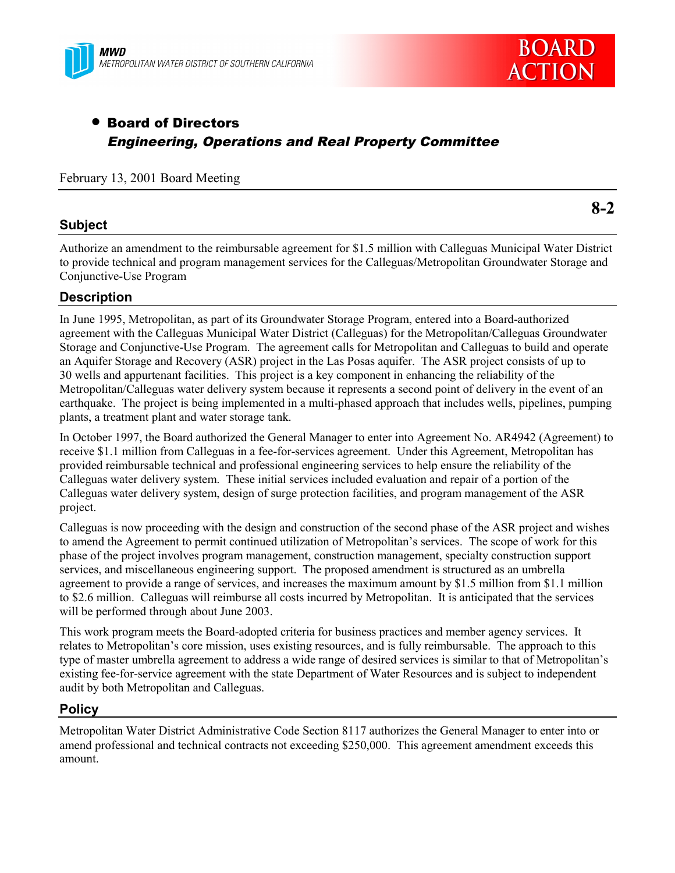



# • Board of Directors Engineering, Operations and Real Property Committee

February 13, 2001 Board Meeting

## **Subject**

**8-2**

Authorize an amendment to the reimbursable agreement for \$1.5 million with Calleguas Municipal Water District to provide technical and program management services for the Calleguas/Metropolitan Groundwater Storage and Conjunctive-Use Program

# **Description**

In June 1995, Metropolitan, as part of its Groundwater Storage Program, entered into a Board-authorized agreement with the Calleguas Municipal Water District (Calleguas) for the Metropolitan/Calleguas Groundwater Storage and Conjunctive-Use Program. The agreement calls for Metropolitan and Calleguas to build and operate an Aquifer Storage and Recovery (ASR) project in the Las Posas aquifer. The ASR project consists of up to 30 wells and appurtenant facilities. This project is a key component in enhancing the reliability of the Metropolitan/Calleguas water delivery system because it represents a second point of delivery in the event of an earthquake. The project is being implemented in a multi-phased approach that includes wells, pipelines, pumping plants, a treatment plant and water storage tank.

In October 1997, the Board authorized the General Manager to enter into Agreement No. AR4942 (Agreement) to receive \$1.1 million from Calleguas in a fee-for-services agreement. Under this Agreement, Metropolitan has provided reimbursable technical and professional engineering services to help ensure the reliability of the Calleguas water delivery system. These initial services included evaluation and repair of a portion of the Calleguas water delivery system, design of surge protection facilities, and program management of the ASR project.

Calleguas is now proceeding with the design and construction of the second phase of the ASR project and wishes to amend the Agreement to permit continued utilization of Metropolitan's services. The scope of work for this phase of the project involves program management, construction management, specialty construction support services, and miscellaneous engineering support. The proposed amendment is structured as an umbrella agreement to provide a range of services, and increases the maximum amount by \$1.5 million from \$1.1 million to \$2.6 million. Calleguas will reimburse all costs incurred by Metropolitan. It is anticipated that the services will be performed through about June 2003.

This work program meets the Board-adopted criteria for business practices and member agency services. It relates to Metropolitan's core mission, uses existing resources, and is fully reimbursable. The approach to this type of master umbrella agreement to address a wide range of desired services is similar to that of Metropolitan's existing fee-for-service agreement with the state Department of Water Resources and is subject to independent audit by both Metropolitan and Calleguas.

# **Policy**

Metropolitan Water District Administrative Code Section 8117 authorizes the General Manager to enter into or amend professional and technical contracts not exceeding \$250,000. This agreement amendment exceeds this amount.